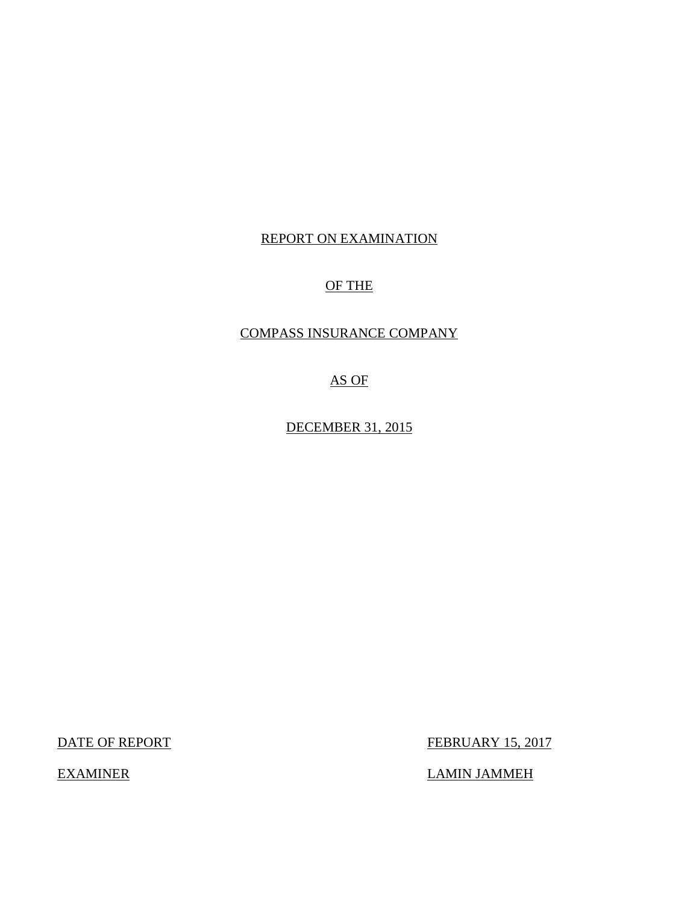## REPORT ON EXAMINATION

## OF THE

## COMPASS INSURANCE COMPANY

AS OF

DECEMBER 31, 2015

DATE OF REPORT FEBRUARY 15, 2017

EXAMINER LAMIN JAMMEH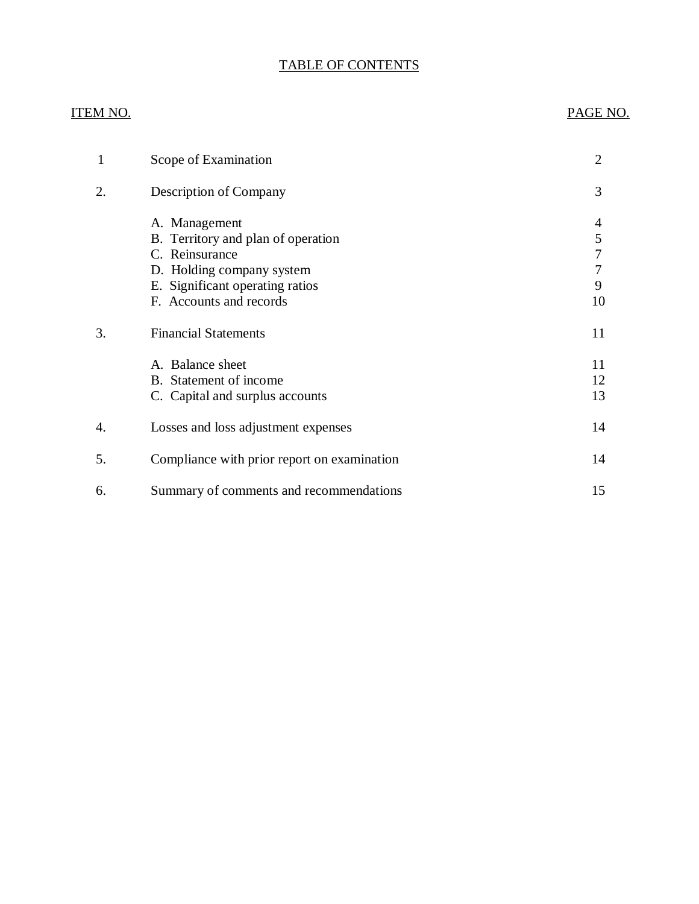## TABLE OF CONTENTS

### ITEM NO. PAGE NO.

| 1  | Scope of Examination                                                                                                                                             | 2                           |
|----|------------------------------------------------------------------------------------------------------------------------------------------------------------------|-----------------------------|
| 2. | Description of Company                                                                                                                                           | 3                           |
|    | A. Management<br>B. Territory and plan of operation<br>C. Reinsurance<br>D. Holding company system<br>E. Significant operating ratios<br>F. Accounts and records | 4<br>5<br>7<br>7<br>9<br>10 |
| 3. | <b>Financial Statements</b>                                                                                                                                      | 11                          |
|    | A. Balance sheet<br>B. Statement of income<br>C. Capital and surplus accounts                                                                                    | 11<br>12<br>13              |
| 4. | Losses and loss adjustment expenses                                                                                                                              | 14                          |
| 5. | Compliance with prior report on examination                                                                                                                      | 14                          |
| 6. | Summary of comments and recommendations                                                                                                                          | 15                          |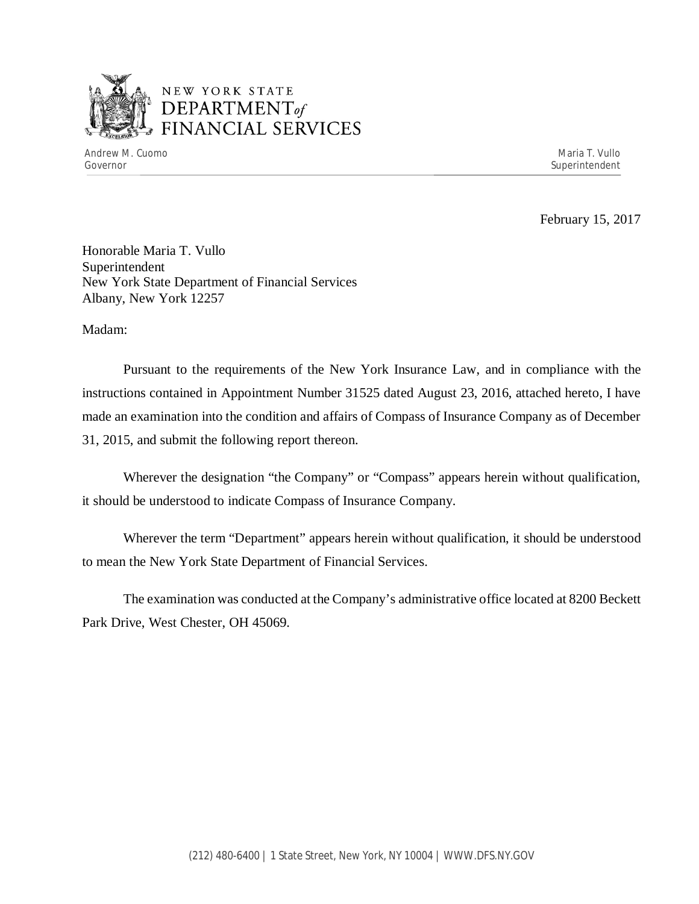

## NEW YORK STATE *DEPARTMENTof*  FINANCIAL SERVICES

Andrew M. Cuomo **Maria T. Vullo** Maria T. Vullo Maria T. Vullo Maria T. Vullo Maria T. Vullo Maria T. Vullo Maria T. Vullo Governor Superintendent Superintendent Superintendent Superintendent Superintendent Superintendent Superintendent

February 15, 2017

Honorable Maria T. Vullo Superintendent New York State Department of Financial Services Albany, New York 12257

Madam:

Pursuant to the requirements of the New York Insurance Law, and in compliance with the instructions contained in Appointment Number 31525 dated August 23, 2016, attached hereto, I have made an examination into the condition and affairs of Compass of Insurance Company as of December 31, 2015, and submit the following report thereon.

Wherever the designation "the Company" or "Compass" appears herein without qualification, it should be understood to indicate Compass of Insurance Company.

Wherever the term "Department" appears herein without qualification, it should be understood to mean the New York State Department of Financial Services.

The examination was conducted at the Company's administrative office located at 8200 Beckett Park Drive, West Chester, OH 45069.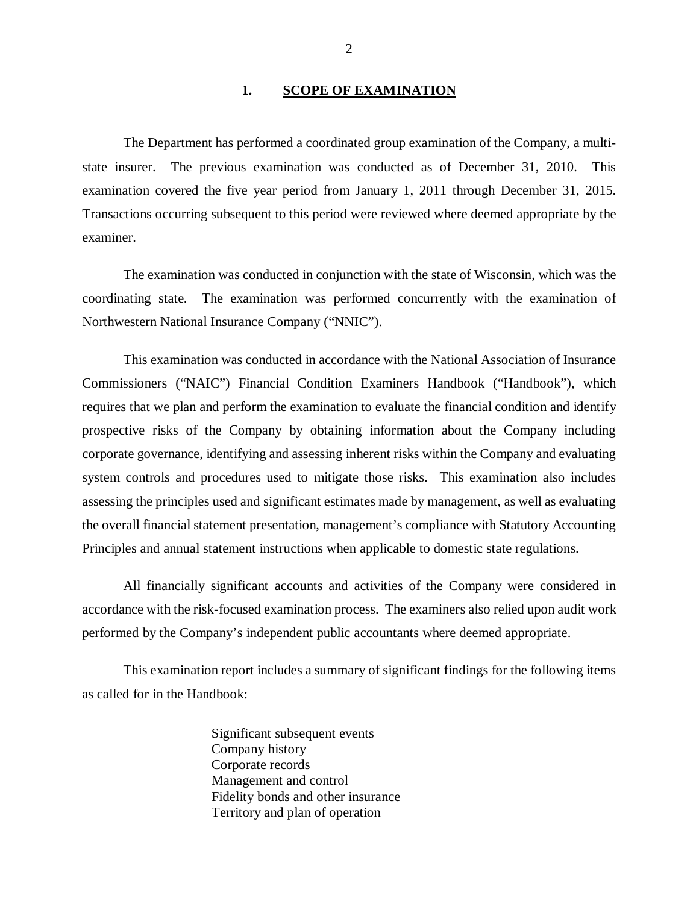#### **1. SCOPE OF EXAMINATION**

<span id="page-3-0"></span>The Department has performed a coordinated group examination of the Company, a multistate insurer. The previous examination was conducted as of December 31, 2010. This examination covered the five year period from January 1, 2011 through December 31, 2015. Transactions occurring subsequent to this period were reviewed where deemed appropriate by the examiner.

The examination was conducted in conjunction with the state of Wisconsin, which was the coordinating state. The examination was performed concurrently with the examination of Northwestern National Insurance Company ("NNIC").

This examination was conducted in accordance with the National Association of Insurance Commissioners ("NAIC") Financial Condition Examiners Handbook ("Handbook"), which requires that we plan and perform the examination to evaluate the financial condition and identify prospective risks of the Company by obtaining information about the Company including corporate governance, identifying and assessing inherent risks within the Company and evaluating system controls and procedures used to mitigate those risks. This examination also includes assessing the principles used and significant estimates made by management, as well as evaluating the overall financial statement presentation, management's compliance with Statutory Accounting Principles and annual statement instructions when applicable to domestic state regulations.

All financially significant accounts and activities of the Company were considered in accordance with the risk-focused examination process. The examiners also relied upon audit work performed by the Company's independent public accountants where deemed appropriate.

This examination report includes a summary of significant findings for the following items as called for in the Handbook:

> Significant subsequent events Company history Corporate records Management and control Fidelity bonds and other insurance Territory and plan of operation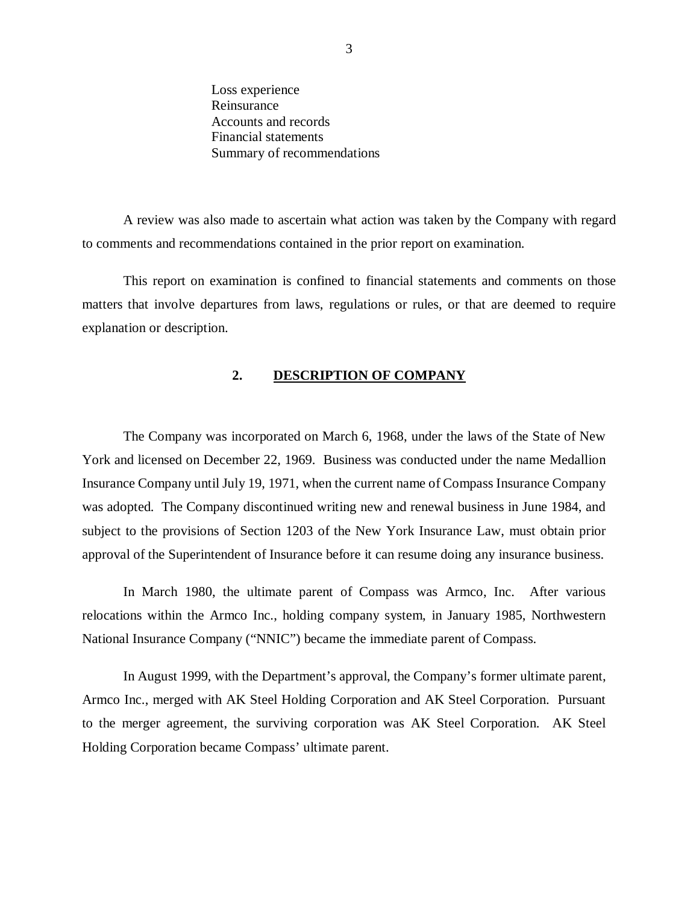<span id="page-4-0"></span>Loss experience Reinsurance Accounts and records Financial statements Summary of recommendations

A review was also made to ascertain what action was taken by the Company with regard to comments and recommendations contained in the prior report on examination.

This report on examination is confined to financial statements and comments on those matters that involve departures from laws, regulations or rules, or that are deemed to require explanation or description.

#### **2. DESCRIPTION OF COMPANY**

The Company was incorporated on March 6, 1968, under the laws of the State of New York and licensed on December 22, 1969. Business was conducted under the name Medallion Insurance Company until July 19, 1971, when the current name of Compass Insurance Company was adopted. The Company discontinued writing new and renewal business in June 1984, and subject to the provisions of Section 1203 of the New York Insurance Law, must obtain prior approval of the Superintendent of Insurance before it can resume doing any insurance business.

In March 1980, the ultimate parent of Compass was Armco, Inc. After various relocations within the Armco Inc., holding company system, in January 1985, Northwestern National Insurance Company ("NNIC") became the immediate parent of Compass.

In August 1999, with the Department's approval, the Company's former ultimate parent, Armco Inc., merged with AK Steel Holding Corporation and AK Steel Corporation. Pursuant to the merger agreement, the surviving corporation was AK Steel Corporation. AK Steel Holding Corporation became Compass' ultimate parent.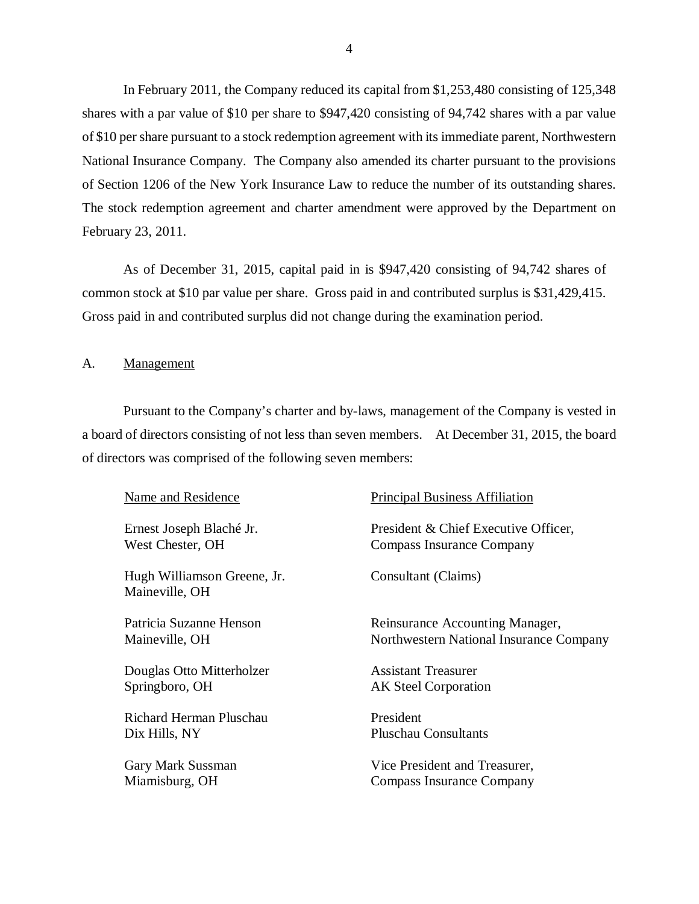<span id="page-5-0"></span>In February 2011, the Company reduced its capital from \$1,253,480 consisting of 125,348 shares with a par value of \$10 per share to \$947,420 consisting of 94,742 shares with a par value of \$10 per share pursuant to a stock redemption agreement with its immediate parent, Northwestern National Insurance Company. The Company also amended its charter pursuant to the provisions of Section 1206 of the New York Insurance Law to reduce the number of its outstanding shares. The stock redemption agreement and charter amendment were approved by the Department on February 23, 2011.

As of December 31, 2015, capital paid in is \$947,420 consisting of 94,742 shares of common stock at \$10 par value per share. Gross paid in and contributed surplus is \$31,429,415. Gross paid in and contributed surplus did not change during the examination period.

A. Management

Pursuant to the Company's charter and by-laws, management of the Company is vested in a board of directors consisting of not less than seven members. At December 31, 2015, the board of directors was comprised of the following seven members:

| Name and Residence                            | <b>Principal Business Affiliation</b>   |
|-----------------------------------------------|-----------------------------------------|
| Ernest Joseph Blaché Jr.                      | President & Chief Executive Officer,    |
| West Chester, OH                              | Compass Insurance Company               |
| Hugh Williamson Greene, Jr.<br>Maineville, OH | Consultant (Claims)                     |
| Patricia Suzanne Henson                       | Reinsurance Accounting Manager,         |
| Maineville, OH                                | Northwestern National Insurance Company |
| Douglas Otto Mitterholzer                     | <b>Assistant Treasurer</b>              |
| Springboro, OH                                | <b>AK Steel Corporation</b>             |
| Richard Herman Pluschau                       | President                               |
| Dix Hills, NY                                 | Pluschau Consultants                    |
| Gary Mark Sussman                             | Vice President and Treasurer,           |
| Miamisburg, OH                                | Compass Insurance Company               |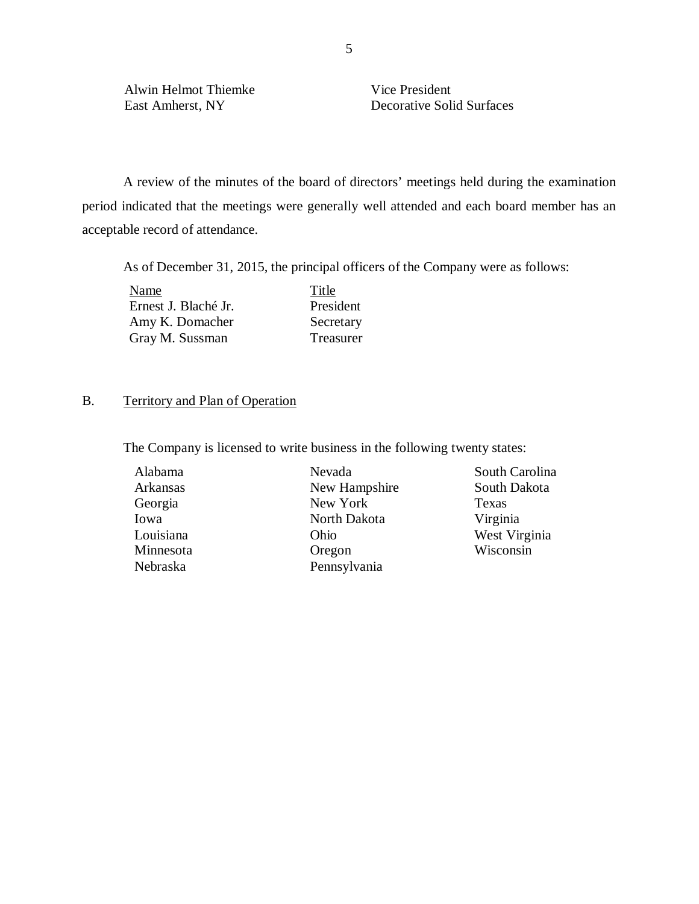Alwin Helmot Thiemke Vice President

East Amherst, NY Decorative Solid Surfaces

A review of the minutes of the board of directors' meetings held during the examination period indicated that the meetings were generally well attended and each board member has an acceptable record of attendance.

As of December 31, 2015, the principal officers of the Company were as follows:

Name Title Ernest J. Blaché Jr. President Amy K. Domacher Secretary Gray M. Sussman Treasurer

## B. Territory and Plan of Operation

The Company is licensed to write business in the following twenty states:

| Alabama   | Nevada        | South             |
|-----------|---------------|-------------------|
| Arkansas  | New Hampshire | South             |
| Georgia   | New York      | Texas             |
| Iowa      | North Dakota  | Virgin            |
| Louisiana | Ohio          | West <sup>y</sup> |
| Minnesota | Oregon        | Wisco             |
| Nebraska  | Pennsylvania  |                   |

South Carolina South Dakota Virginia West Virginia Wisconsin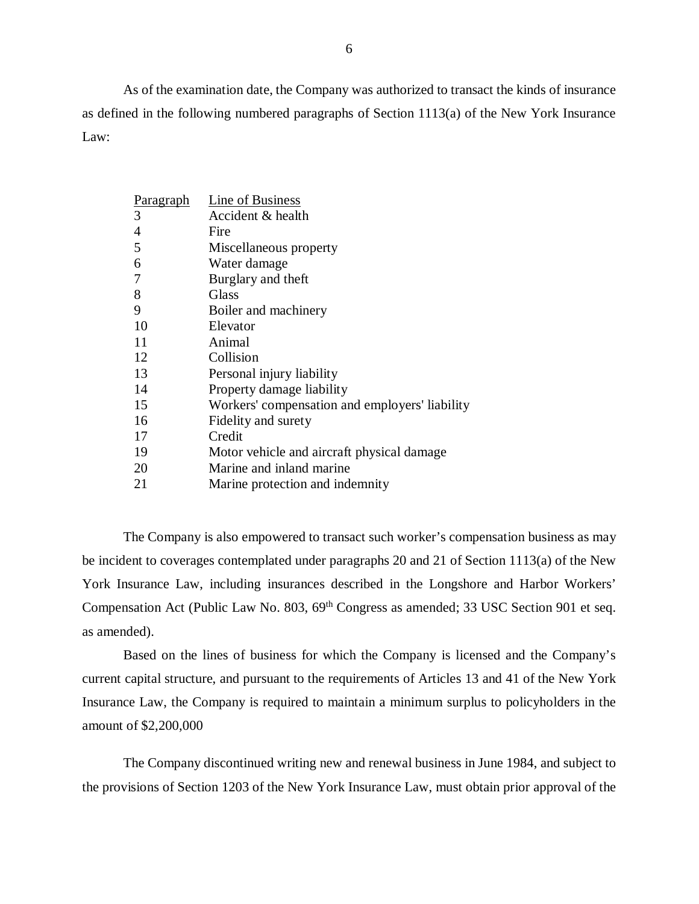As of the examination date, the Company was authorized to transact the kinds of insurance as defined in the following numbered paragraphs of Section 1113(a) of the New York Insurance Law:

| <b>Paragraph</b> | Line of Business                               |
|------------------|------------------------------------------------|
| 3                | Accident & health                              |
| 4                | Fire                                           |
| 5                | Miscellaneous property                         |
| 6                | Water damage                                   |
| 7                | Burglary and theft                             |
| 8                | Glass                                          |
| 9                | Boiler and machinery                           |
| 10               | Elevator                                       |
| 11               | Animal                                         |
| 12               | Collision                                      |
| 13               | Personal injury liability                      |
| 14               | Property damage liability                      |
| 15               | Workers' compensation and employers' liability |
| 16               | Fidelity and surety                            |
| 17               | Credit                                         |
| 19               | Motor vehicle and aircraft physical damage     |
| 20               | Marine and inland marine                       |
| 21               | Marine protection and indemnity                |

The Company is also empowered to transact such worker's compensation business as may be incident to coverages contemplated under paragraphs 20 and 21 of Section 1113(a) of the New York Insurance Law, including insurances described in the Longshore and Harbor Workers' Compensation Act (Public Law No. 803, 69<sup>th</sup> Congress as amended; 33 USC Section 901 et seq. as amended).

Based on the lines of business for which the Company is licensed and the Company's current capital structure, and pursuant to the requirements of Articles 13 and 41 of the New York Insurance Law, the Company is required to maintain a minimum surplus to policyholders in the amount of \$2,200,000

The Company discontinued writing new and renewal business in June 1984, and subject to the provisions of Section 1203 of the New York Insurance Law, must obtain prior approval of the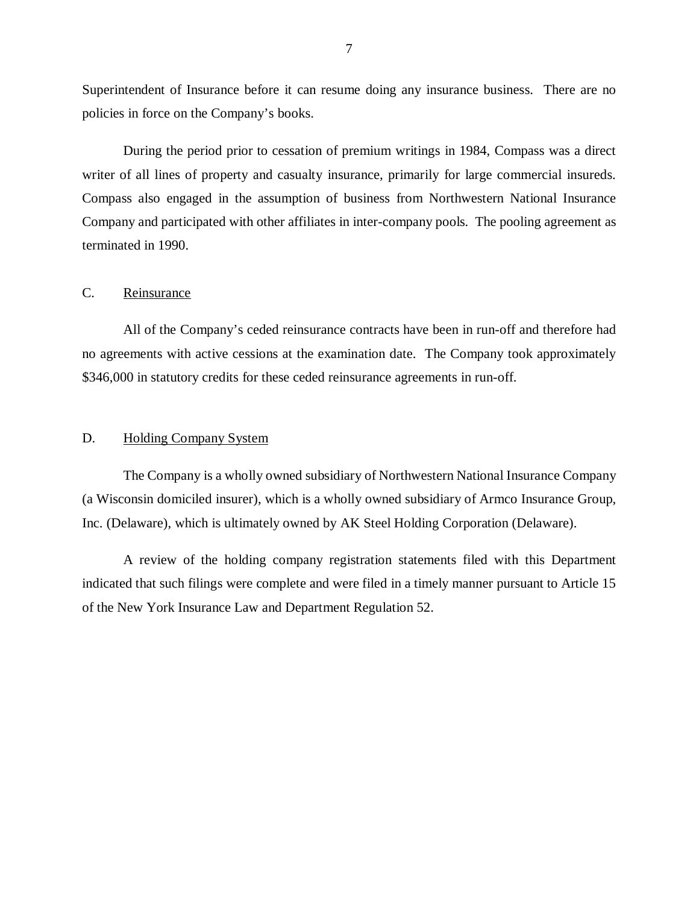<span id="page-8-0"></span>Superintendent of Insurance before it can resume doing any insurance business. There are no policies in force on the Company's books.

During the period prior to cessation of premium writings in 1984, Compass was a direct writer of all lines of property and casualty insurance, primarily for large commercial insureds. Compass also engaged in the assumption of business from Northwestern National Insurance Company and participated with other affiliates in inter-company pools. The pooling agreement as terminated in 1990.

#### C. Reinsurance

All of the Company's ceded reinsurance contracts have been in run-off and therefore had no agreements with active cessions at the examination date. The Company took approximately \$346,000 in statutory credits for these ceded reinsurance agreements in run-off.

#### D. Holding Company System

The Company is a wholly owned subsidiary of Northwestern National Insurance Company (a Wisconsin domiciled insurer), which is a wholly owned subsidiary of Armco Insurance Group, Inc. (Delaware), which is ultimately owned by AK Steel Holding Corporation (Delaware).

A review of the holding company registration statements filed with this Department indicated that such filings were complete and were filed in a timely manner pursuant to Article 15 of the New York Insurance Law and Department Regulation 52.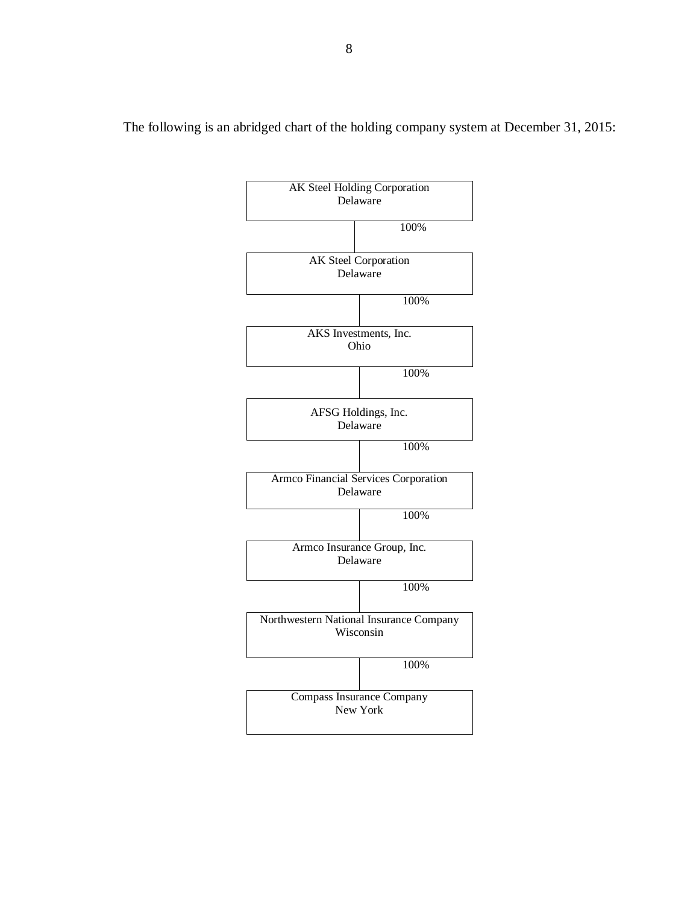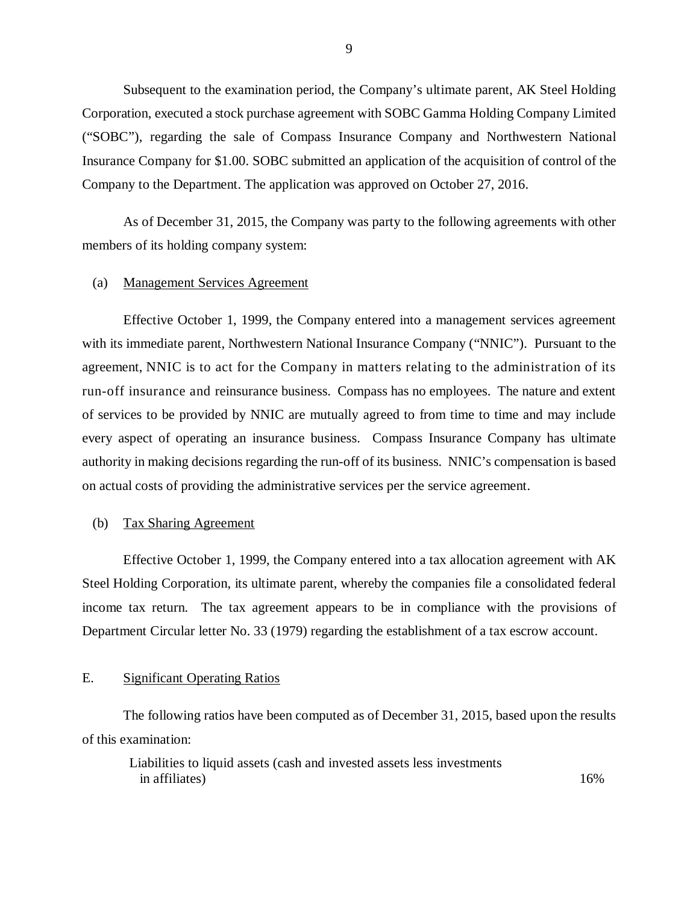<span id="page-10-0"></span>Subsequent to the examination period, the Company's ultimate parent, AK Steel Holding Corporation, executed a stock purchase agreement with SOBC Gamma Holding Company Limited ("SOBC"), regarding the sale of Compass Insurance Company and Northwestern National Insurance Company for \$1.00. SOBC submitted an application of the acquisition of control of the Company to the Department. The application was approved on October 27, 2016.

As of December 31, 2015, the Company was party to the following agreements with other members of its holding company system:

#### (a) Management Services Agreement

Effective October 1, 1999, the Company entered into a management services agreement with its immediate parent, Northwestern National Insurance Company ("NNIC"). Pursuant to the agreement, NNIC is to act for the Company in matters relating to the administration of its run-off insurance and reinsurance business. Compass has no employees. The nature and extent of services to be provided by NNIC are mutually agreed to from time to time and may include every aspect of operating an insurance business. Compass Insurance Company has ultimate authority in making decisions regarding the run-off of its business. NNIC's compensation is based on actual costs of providing the administrative services per the service agreement.

#### (b) Tax Sharing Agreement

Effective October 1, 1999, the Company entered into a tax allocation agreement with AK Steel Holding Corporation, its ultimate parent, whereby the companies file a consolidated federal income tax return. The tax agreement appears to be in compliance with the provisions of Department Circular letter No. 33 (1979) regarding the establishment of a tax escrow account.

#### E. Significant Operating Ratios

The following ratios have been computed as of December 31, 2015, based upon the results of this examination:

Liabilities to liquid assets (cash and invested assets less investments in affiliates) and the set of the set of the set of the set of the set of the set of the set of the set of the set of the set of the set of the set of the set of the set of the set of the set of the set of the set of the s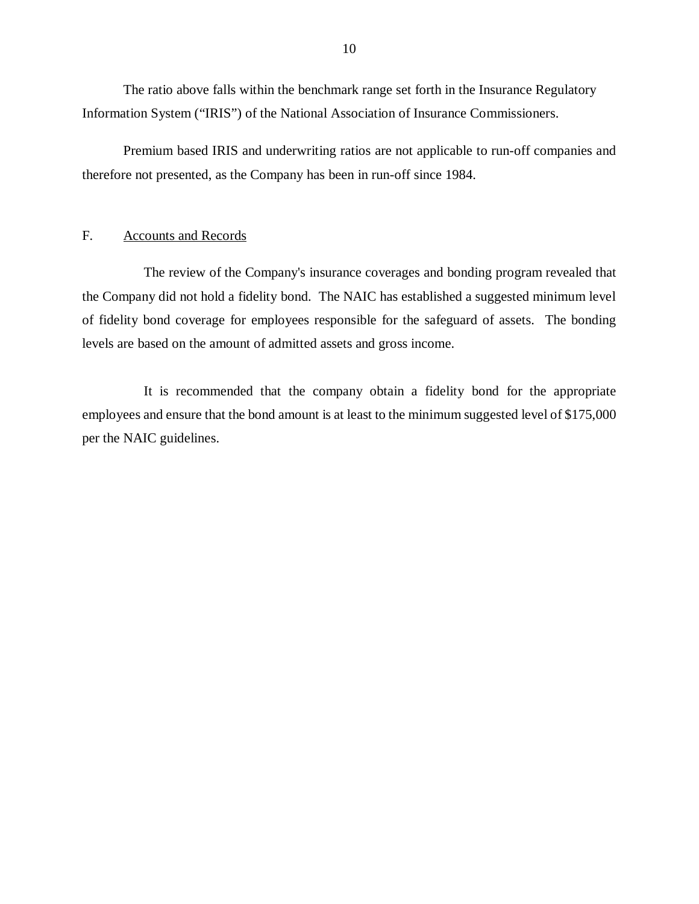<span id="page-11-0"></span>The ratio above falls within the benchmark range set forth in the Insurance Regulatory Information System ("IRIS") of the National Association of Insurance Commissioners.

Premium based IRIS and underwriting ratios are not applicable to run-off companies and therefore not presented, as the Company has been in run-off since 1984.

### F. Accounts and Records

The review of the Company's insurance coverages and bonding program revealed that the Company did not hold a fidelity bond. The NAIC has established a suggested minimum level of fidelity bond coverage for employees responsible for the safeguard of assets. The bonding levels are based on the amount of admitted assets and gross income.

It is recommended that the company obtain a fidelity bond for the appropriate employees and ensure that the bond amount is at least to the minimum suggested level of \$175,000 per the NAIC guidelines.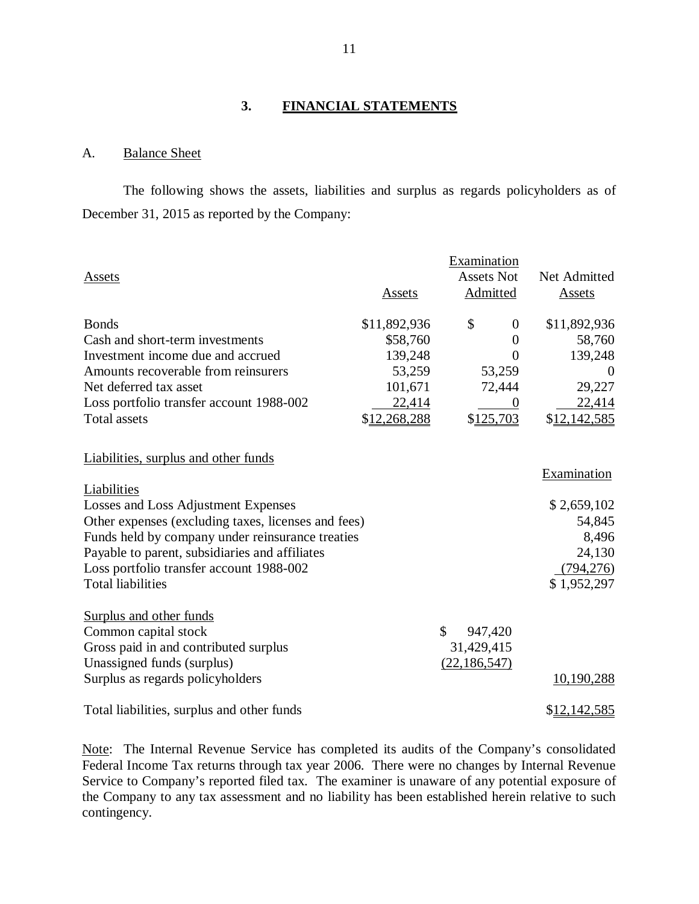## **3. FINANCIAL STATEMENTS**

#### A. Balance Sheet

The following shows the assets, liabilities and surplus as regards policyholders as of December 31, 2015 as reported by the Company:

|                                                     |              | Examination<br><b>Assets Not</b> | Net Admitted |
|-----------------------------------------------------|--------------|----------------------------------|--------------|
| Assets                                              | Assets       | Admitted                         | Assets       |
| <b>Bonds</b>                                        | \$11,892,936 | \$<br>$\theta$                   | \$11,892,936 |
| Cash and short-term investments                     | \$58,760     | $\overline{0}$                   | 58,760       |
| Investment income due and accrued                   | 139,248      | $\overline{0}$                   | 139,248      |
| Amounts recoverable from reinsurers                 | 53,259       | 53,259                           |              |
| Net deferred tax asset                              | 101,671      | 72,444                           | 29,227       |
| Loss portfolio transfer account 1988-002            | 22,414       | 0                                | 22,414       |
| <b>Total assets</b>                                 | \$12,268,288 | \$125,703                        | \$12,142,585 |
|                                                     |              |                                  |              |
| Liabilities, surplus and other funds                |              |                                  |              |
|                                                     |              |                                  | Examination  |
| Liabilities                                         |              |                                  |              |
| Losses and Loss Adjustment Expenses                 |              |                                  | \$2,659,102  |
| Other expenses (excluding taxes, licenses and fees) |              |                                  | 54,845       |
| Funds held by company under reinsurance treaties    |              |                                  | 8,496        |
| Payable to parent, subsidiaries and affiliates      |              |                                  | 24,130       |
| Loss portfolio transfer account 1988-002            |              |                                  | (794, 276)   |
| <b>Total liabilities</b>                            |              |                                  | \$1,952,297  |
| <b>Surplus and other funds</b>                      |              |                                  |              |
| Common capital stock                                |              | $\mathcal{S}$<br>947,420         |              |
| Gross paid in and contributed surplus               |              | 31,429,415                       |              |
| Unassigned funds (surplus)                          |              | (22, 186, 547)                   |              |
| Surplus as regards policyholders                    |              |                                  | 10,190,288   |
|                                                     |              |                                  |              |
| Total liabilities, surplus and other funds          |              |                                  | \$12,142,585 |

Note: The Internal Revenue Service has completed its audits of the Company's consolidated Federal Income Tax returns through tax year 2006. There were no changes by Internal Revenue Service to Company's reported filed tax. The examiner is unaware of any potential exposure of the Company to any tax assessment and no liability has been established herein relative to such contingency.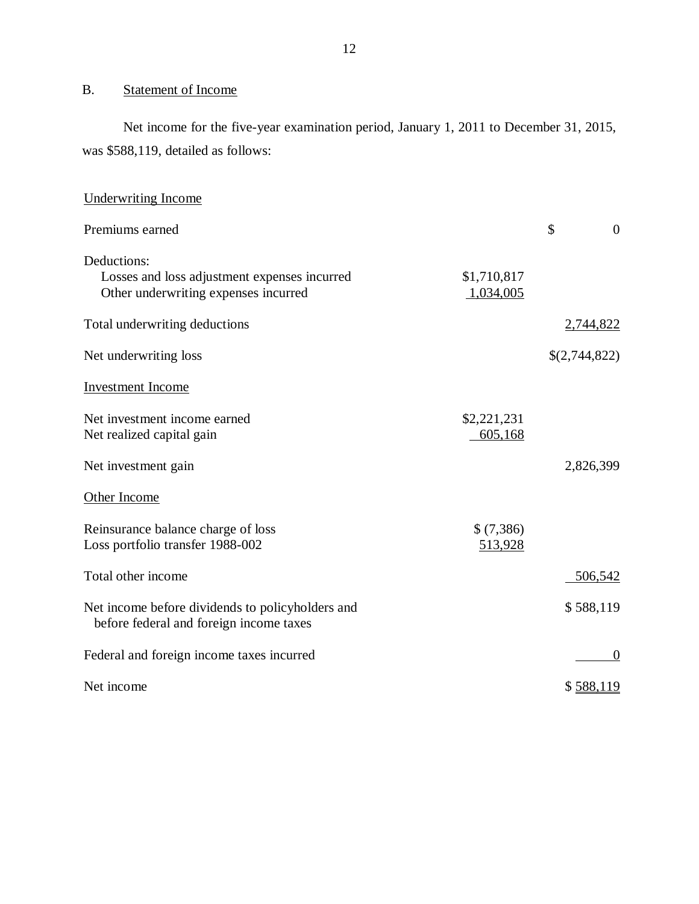## B. Statement of Income

Net income for the five-year examination period, January 1, 2011 to December 31, 2015, was \$588,119, detailed as follows:

| <b>Underwriting Income</b>                                                                          |                          |                      |
|-----------------------------------------------------------------------------------------------------|--------------------------|----------------------|
| Premiums earned                                                                                     |                          | \$<br>$\overline{0}$ |
| Deductions:<br>Losses and loss adjustment expenses incurred<br>Other underwriting expenses incurred | \$1,710,817<br>1,034,005 |                      |
| Total underwriting deductions                                                                       |                          | 2,744,822            |
| Net underwriting loss                                                                               |                          | \$(2,744,822)        |
| <b>Investment Income</b>                                                                            |                          |                      |
| Net investment income earned<br>Net realized capital gain                                           | \$2,221,231<br>605,168   |                      |
| Net investment gain                                                                                 |                          | 2,826,399            |
| Other Income                                                                                        |                          |                      |
| Reinsurance balance charge of loss<br>Loss portfolio transfer 1988-002                              | \$ (7,386)<br>513,928    |                      |
| Total other income                                                                                  |                          | 506,542              |
| Net income before dividends to policyholders and<br>before federal and foreign income taxes         |                          | \$588,119            |
| Federal and foreign income taxes incurred                                                           |                          | $\theta$             |
| Net income                                                                                          |                          | \$588,119            |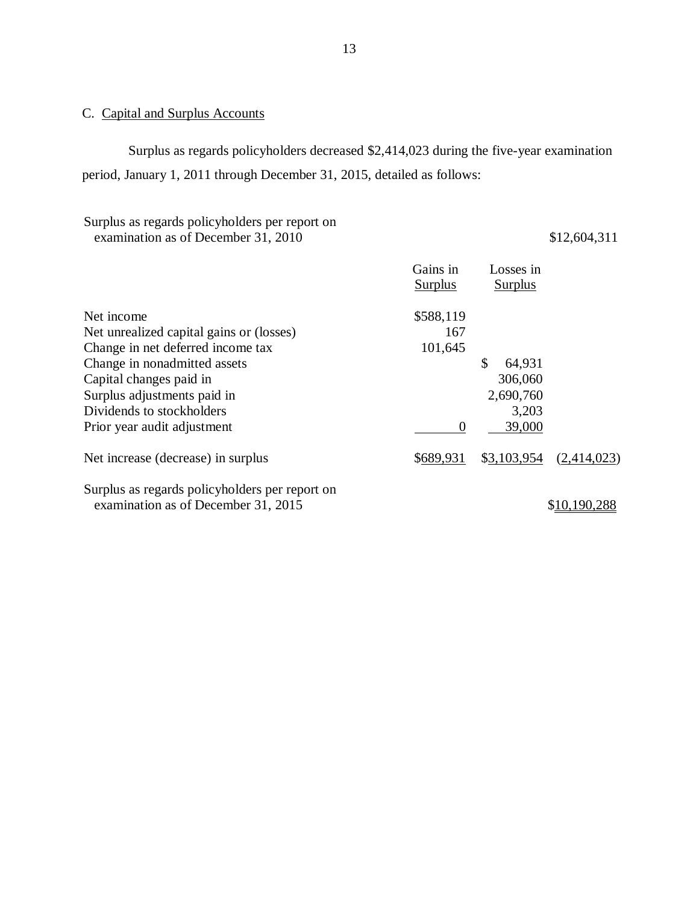## C. Capital and Surplus Accounts

Surplus as regards policyholders decreased \$2,414,023 during the five-year examination period, January 1, 2011 through December 31, 2015, detailed as follows:

Surplus as regards policyholders per report on examination as of December 31, 2010 \$12,604,311

|                                                | Gains in<br><b>Surplus</b> | Losses in<br><b>Surplus</b> |             |
|------------------------------------------------|----------------------------|-----------------------------|-------------|
| Net income                                     | \$588,119                  |                             |             |
| Net unrealized capital gains or (losses)       | 167                        |                             |             |
| Change in net deferred income tax              | 101,645                    |                             |             |
| Change in nonadmitted assets                   |                            | \$<br>64,931                |             |
| Capital changes paid in                        |                            | 306,060                     |             |
| Surplus adjustments paid in                    |                            | 2,690,760                   |             |
| Dividends to stockholders                      |                            | 3,203                       |             |
| Prior year audit adjustment                    | $\boldsymbol{0}$           | 39,000                      |             |
| Net increase (decrease) in surplus             | \$689,931                  | \$3,103,954                 | (2,414,023) |
| Surplus as regards policyholders per report on |                            |                             |             |
| examination as of December 31, 2015            |                            |                             |             |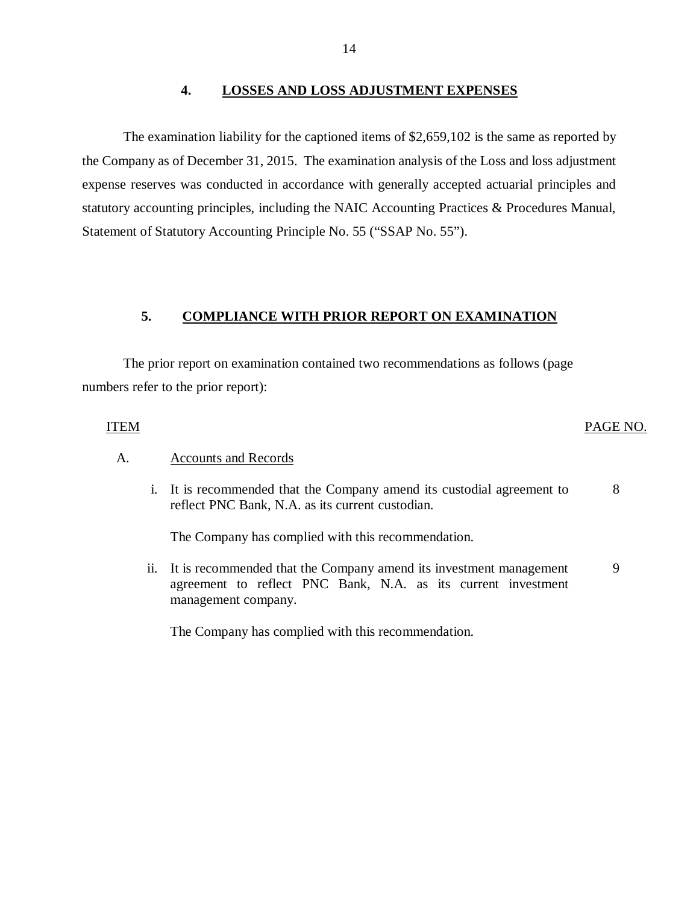#### **4. LOSSES AND LOSS ADJUSTMENT EXPENSES**

The examination liability for the captioned items of \$2,659,102 is the same as reported by the Company as of December 31, 2015. The examination analysis of the Loss and loss adjustment expense reserves was conducted in accordance with generally accepted actuarial principles and statutory accounting principles, including the NAIC Accounting Practices & Procedures Manual, Statement of Statutory Accounting Principle No. 55 ("SSAP No. 55").

## **5. COMPLIANCE WITH PRIOR REPORT ON EXAMINATION**

The prior report on examination contained two recommendations as follows (page numbers refer to the prior report):

## ITEM PAGE NO.

#### A. Accounts and Records

i. It is recommended that the Company amend its custodial agreement to reflect PNC Bank, N.A. as its current custodian. 8

The Company has complied with this recommendation.

ii. It is recommended that the Company amend its investment management agreement to reflect PNC Bank, N.A. as its current investment management company. 9

The Company has complied with this recommendation.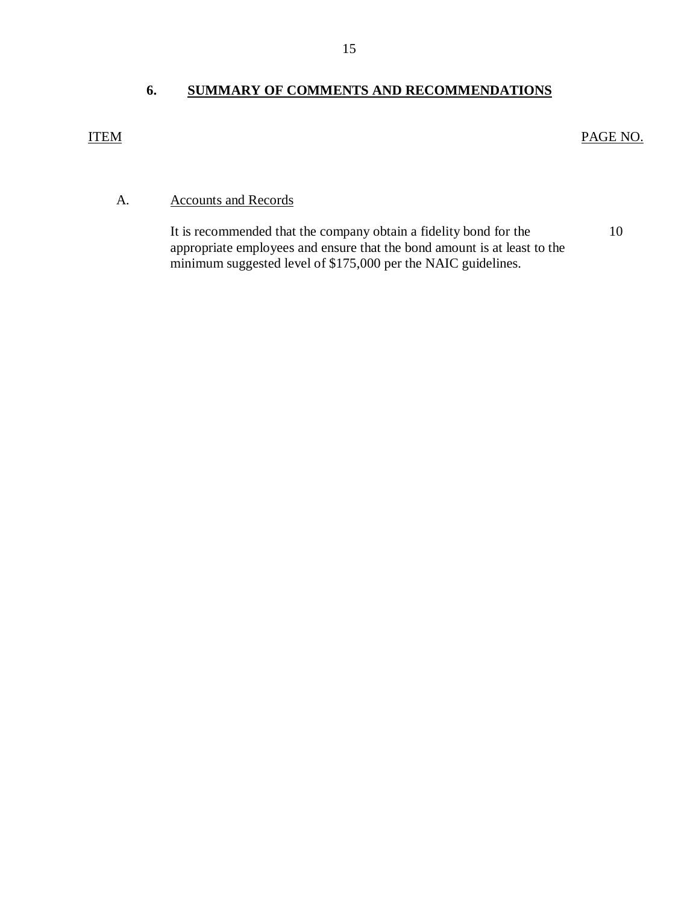## **6. SUMMARY OF COMMENTS AND RECOMMENDATIONS**

## <span id="page-16-0"></span>ITEM PAGE NO.

10

## A. Accounts and Records

It is recommended that the company obtain a fidelity bond for the appropriate employees and ensure that the bond amount is at least to the minimum suggested level of \$175,000 per the NAIC guidelines.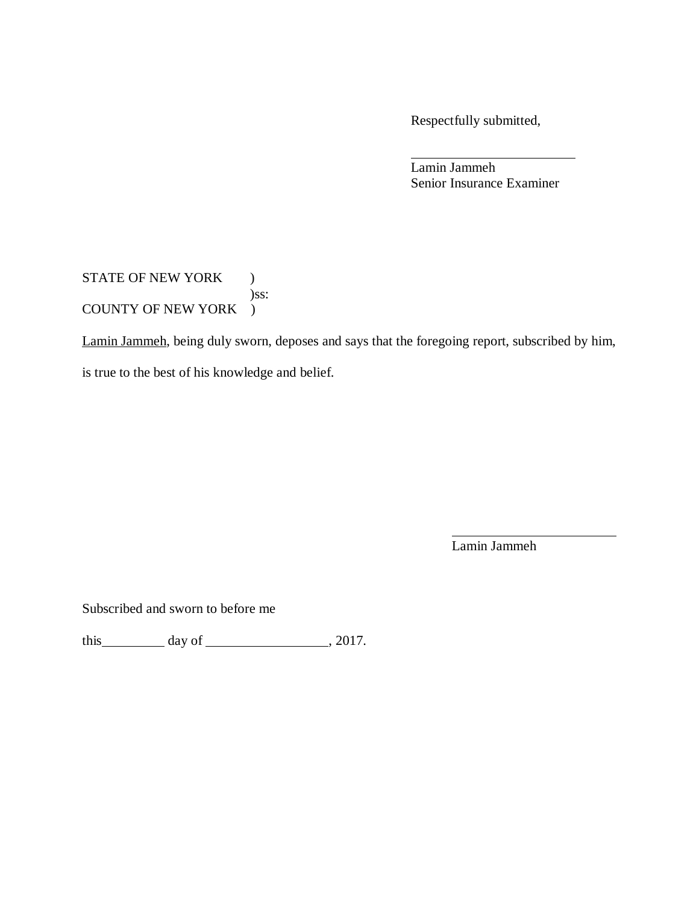Respectfully submitted,

Lamin Jammeh Senior Insurance Examiner

STATE OF NEW YORK ) )ss: COUNTY OF NEW YORK )

Lamin Jammeh, being duly sworn, deposes and says that the foregoing report, subscribed by him,

is true to the best of his knowledge and belief.

Lamin Jammeh

Subscribed and sworn to before me

this  $\qquad \qquad \text{day of } \qquad \qquad .2017.$